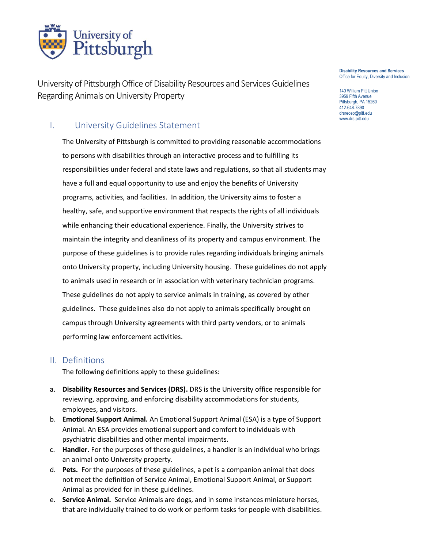

University of Pittsburgh Office of Disability Resources and Services Guidelines Regarding Animals on University Property

# I. University Guidelines Statement

The University of Pittsburgh is committed to providing reasonable accommodations to persons with disabilities through an interactive process and to fulfilling its responsibilities under federal and state laws and regulations, so that all students may have a full and equal opportunity to use and enjoy the benefits of University programs, activities, and facilities. In addition, the University aims to foster a healthy, safe, and supportive environment that respects the rights of all individuals while enhancing their educational experience. Finally, the University strives to maintain the integrity and cleanliness of its property and campus environment. The purpose of these guidelines is to provide rules regarding individuals bringing animals onto University property, including University housing. These guidelines do not apply to animals used in research or in association with veterinary technician programs. These guidelines do not apply to service animals in training, as covered by other guidelines. These guidelines also do not apply to animals specifically brought on campus through University agreements with third party vendors, or to animals performing law enforcement activities.

#### II. Definitions

The following definitions apply to these guidelines:

- a. **Disability Resources and Services (DRS).** DRS is the University office responsible for reviewing, approving, and enforcing disability accommodations for students, employees, and visitors.
- b. **Emotional Support Animal.** An Emotional Support Animal (ESA) is a type of Support Animal. An ESA provides emotional support and comfort to individuals with psychiatric disabilities and other mental impairments.
- c. **Handler**. For the purposes of these guidelines, a handler is an individual who brings an animal onto University property.
- d. **Pets.** For the purposes of these guidelines, a pet is a companion animal that does not meet the definition of Service Animal, Emotional Support Animal, or Support Animal as provided for in these guidelines.
- e. **Service Animal.** Service Animals are dogs, and in some instances miniature horses, that are individually trained to do work or perform tasks for people with disabilities.

#### **Disability Resources and Services** Office for Equity, Diversity and Inclusion

140 William Pitt Union 3959 Fifth Avenue Pittsburgh, PA 15260 412-648-7890 drsrecep@pitt.edu www.drs.pitt.edu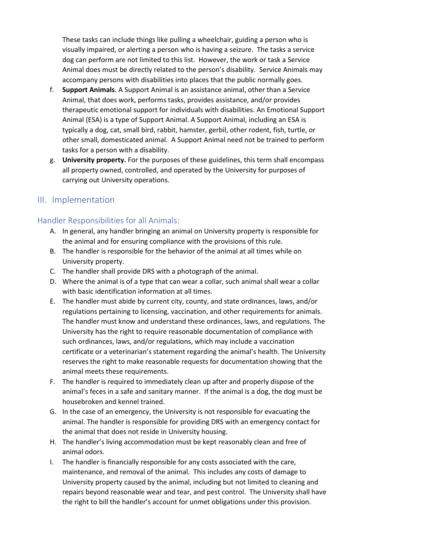These tasks can include things like pulling a wheelchair, guiding a person who is visually impaired, or alerting a person who is having a seizure. The tasks a service dog can perform are not limited to this list. However, the work or task a Service Animal does must be directly related to the person's disability. Service Animals may accompany persons with disabilities into places that the public normally goes.

- f. **Support Animals**. A Support Animal is an assistance animal, other than a Service Animal, that does work, performs tasks, provides assistance, and/or provides therapeutic emotional support for individuals with disabilities. An Emotional Support Animal (ESA) is a type of Support Animal. A Support Animal, including an ESA is typically a dog, cat, small bird, rabbit, hamster, gerbil, other rodent, fish, turtle, or other small, domesticated animal. A Support Animal need not be trained to perform tasks for a person with a disability.
- g. **University property.** For the purposes of these guidelines, this term shall encompass all property owned, controlled, and operated by the University for purposes of carrying out University operations.

# III. Implementation

### Handler Responsibilities for all Animals:

- A. In general, any handler bringing an animal on University property is responsible for the animal and for ensuring compliance with the provisions of this rule.
- B. The handler is responsible for the behavior of the animal at all times while on University property.
- C. The handler shall provide DRS with a photograph of the animal.
- D. Where the animal is of a type that can wear a collar, such animal shall wear a collar with basic identification information at all times.
- E. The handler must abide by current city, county, and state ordinances, laws, and/or regulations pertaining to licensing, vaccination, and other requirements for animals. The handler must know and understand these ordinances, laws, and regulations. The University has the right to require reasonable documentation of compliance with such ordinances, laws, and/or regulations, which may include a vaccination certificate or a veterinarian's statement regarding the animal's health. The University reserves the right to make reasonable requests for documentation showing that the animal meets these requirements.
- F. The handler is required to immediately clean up after and properly dispose of the animal's feces in a safe and sanitary manner. If the animal is a dog, the dog must be housebroken and kennel trained.
- G. In the case of an emergency, the University is not responsible for evacuating the animal. The handler is responsible for providing DRS with an emergency contact for the animal that does not reside in University housing.
- H. The handler's living accommodation must be kept reasonably clean and free of animal odors.
- I. The handler is financially responsible for any costs associated with the care, maintenance, and removal of the animal. This includes any costs of damage to University property caused by the animal, including but not limited to cleaning and repairs beyond reasonable wear and tear, and pest control. The University shall have the right to bill the handler's account for unmet obligations under this provision.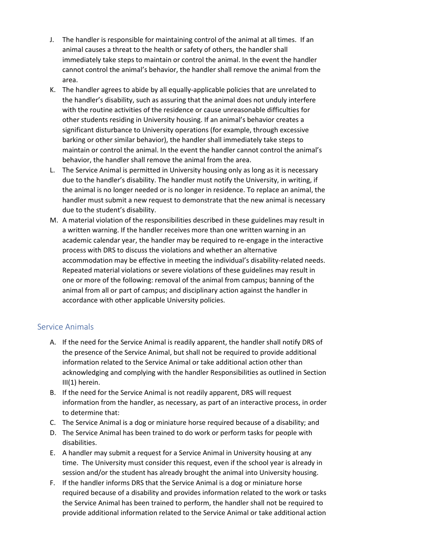- J. The handler is responsible for maintaining control of the animal at all times. If an animal causes a threat to the health or safety of others, the handler shall immediately take steps to maintain or control the animal. In the event the handler cannot control the animal's behavior, the handler shall remove the animal from the area.
- K. The handler agrees to abide by all equally-applicable policies that are unrelated to the handler's disability, such as assuring that the animal does not unduly interfere with the routine activities of the residence or cause unreasonable difficulties for other students residing in University housing. If an animal's behavior creates a significant disturbance to University operations (for example, through excessive barking or other similar behavior), the handler shall immediately take steps to maintain or control the animal. In the event the handler cannot control the animal's behavior, the handler shall remove the animal from the area.
- L. The Service Animal is permitted in University housing only as long as it is necessary due to the handler's disability. The handler must notify the University, in writing, if the animal is no longer needed or is no longer in residence. To replace an animal, the handler must submit a new request to demonstrate that the new animal is necessary due to the student's disability.
- M. A material violation of the responsibilities described in these guidelines may result in a written warning. If the handler receives more than one written warning in an academic calendar year, the handler may be required to re-engage in the interactive process with DRS to discuss the violations and whether an alternative accommodation may be effective in meeting the individual's disability-related needs. Repeated material violations or severe violations of these guidelines may result in one or more of the following: removal of the animal from campus; banning of the animal from all or part of campus; and disciplinary action against the handler in accordance with other applicable University policies.

## Service Animals

- A. If the need for the Service Animal is readily apparent, the handler shall notify DRS of the presence of the Service Animal, but shall not be required to provide additional information related to the Service Animal or take additional action other than acknowledging and complying with the handler Responsibilities as outlined in Section III(1) herein.
- B. If the need for the Service Animal is not readily apparent, DRS will request information from the handler, as necessary, as part of an interactive process, in order to determine that:
- C. The Service Animal is a dog or miniature horse required because of a disability; and
- D. The Service Animal has been trained to do work or perform tasks for people with disabilities.
- E. A handler may submit a request for a Service Animal in University housing at any time. The University must consider this request, even if the school year is already in session and/or the student has already brought the animal into University housing.
- F. If the handler informs DRS that the Service Animal is a dog or miniature horse required because of a disability and provides information related to the work or tasks the Service Animal has been trained to perform, the handler shall not be required to provide additional information related to the Service Animal or take additional action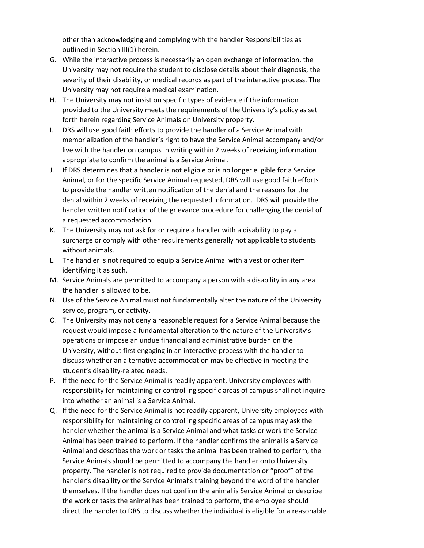other than acknowledging and complying with the handler Responsibilities as outlined in Section III(1) herein.

- G. While the interactive process is necessarily an open exchange of information, the University may not require the student to disclose details about their diagnosis, the severity of their disability, or medical records as part of the interactive process. The University may not require a medical examination.
- H. The University may not insist on specific types of evidence if the information provided to the University meets the requirements of the University's policy as set forth herein regarding Service Animals on University property.
- I. DRS will use good faith efforts to provide the handler of a Service Animal with memorialization of the handler's right to have the Service Animal accompany and/or live with the handler on campus in writing within 2 weeks of receiving information appropriate to confirm the animal is a Service Animal.
- J. If DRS determines that a handler is not eligible or is no longer eligible for a Service Animal, or for the specific Service Animal requested, DRS will use good faith efforts to provide the handler written notification of the denial and the reasons for the denial within 2 weeks of receiving the requested information. DRS will provide the handler written notification of the grievance procedure for challenging the denial of a requested accommodation.
- K. The University may not ask for or require a handler with a disability to pay a surcharge or comply with other requirements generally not applicable to students without animals.
- L. The handler is not required to equip a Service Animal with a vest or other item identifying it as such.
- M. Service Animals are permitted to accompany a person with a disability in any area the handler is allowed to be.
- N. Use of the Service Animal must not fundamentally alter the nature of the University service, program, or activity.
- O. The University may not deny a reasonable request for a Service Animal because the request would impose a fundamental alteration to the nature of the University's operations or impose an undue financial and administrative burden on the University, without first engaging in an interactive process with the handler to discuss whether an alternative accommodation may be effective in meeting the student's disability-related needs.
- P. If the need for the Service Animal is readily apparent, University employees with responsibility for maintaining or controlling specific areas of campus shall not inquire into whether an animal is a Service Animal.
- Q. If the need for the Service Animal is not readily apparent, University employees with responsibility for maintaining or controlling specific areas of campus may ask the handler whether the animal is a Service Animal and what tasks or work the Service Animal has been trained to perform. If the handler confirms the animal is a Service Animal and describes the work or tasks the animal has been trained to perform, the Service Animals should be permitted to accompany the handler onto University property. The handler is not required to provide documentation or "proof" of the handler's disability or the Service Animal's training beyond the word of the handler themselves. If the handler does not confirm the animal is Service Animal or describe the work or tasks the animal has been trained to perform, the employee should direct the handler to DRS to discuss whether the individual is eligible for a reasonable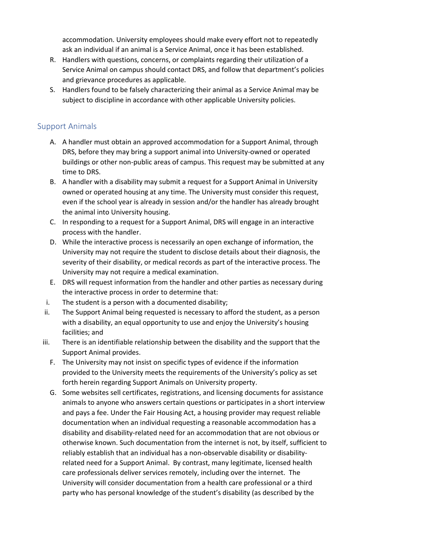accommodation. University employees should make every effort not to repeatedly ask an individual if an animal is a Service Animal, once it has been established.

- R. Handlers with questions, concerns, or complaints regarding their utilization of a Service Animal on campus should contact DRS, and follow that department's policies and grievance procedures as applicable.
- S. Handlers found to be falsely characterizing their animal as a Service Animal may be subject to discipline in accordance with other applicable University policies.

# Support Animals

- A. A handler must obtain an approved accommodation for a Support Animal, through DRS, before they may bring a support animal into University-owned or operated buildings or other non-public areas of campus. This request may be submitted at any time to DRS.
- B. A handler with a disability may submit a request for a Support Animal in University owned or operated housing at any time. The University must consider this request, even if the school year is already in session and/or the handler has already brought the animal into University housing.
- C. In responding to a request for a Support Animal, DRS will engage in an interactive process with the handler.
- D. While the interactive process is necessarily an open exchange of information, the University may not require the student to disclose details about their diagnosis, the severity of their disability, or medical records as part of the interactive process. The University may not require a medical examination.
- E. DRS will request information from the handler and other parties as necessary during the interactive process in order to determine that:
- i. The student is a person with a documented disability;
- ii. The Support Animal being requested is necessary to afford the student, as a person with a disability, an equal opportunity to use and enjoy the University's housing facilities; and
- iii. There is an identifiable relationship between the disability and the support that the Support Animal provides.
	- F. The University may not insist on specific types of evidence if the information provided to the University meets the requirements of the University's policy as set forth herein regarding Support Animals on University property.
	- G. Some websites sell certificates, registrations, and licensing documents for assistance animals to anyone who answers certain questions or participates in a short interview and pays a fee. Under the Fair Housing Act, a housing provider may request reliable documentation when an individual requesting a reasonable accommodation has a disability and disability-related need for an accommodation that are not obvious or otherwise known. Such documentation from the internet is not, by itself, sufficient to reliably establish that an individual has a non-observable disability or disabilityrelated need for a Support Animal. By contrast, many legitimate, licensed health care professionals deliver services remotely, including over the internet. The University will consider documentation from a health care professional or a third party who has personal knowledge of the student's disability (as described by the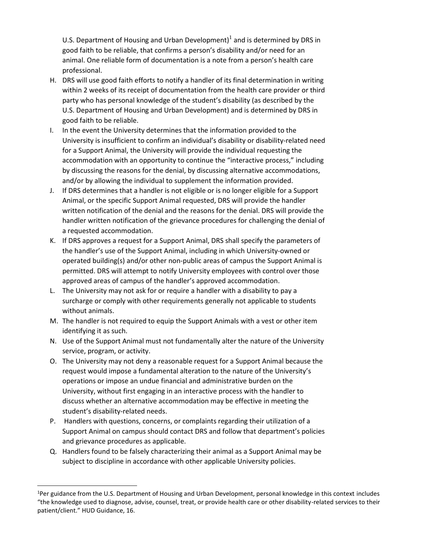U.S. Department of Housing and Urban Development)<sup>1</sup> and is determined by DRS in good faith to be reliable, that confirms a person's disability and/or need for an animal. One reliable form of documentation is a note from a person's health care professional.

- H. DRS will use good faith efforts to notify a handler of its final determination in writing within 2 weeks of its receipt of documentation from the health care provider or third party who has personal knowledge of the student's disability (as described by the U.S. Department of Housing and Urban Development) and is determined by DRS in good faith to be reliable.
- I. In the event the University determines that the information provided to the University is insufficient to confirm an individual's disability or disability-related need for a Support Animal, the University will provide the individual requesting the accommodation with an opportunity to continue the "interactive process," including by discussing the reasons for the denial, by discussing alternative accommodations, and/or by allowing the individual to supplement the information provided.
- J. If DRS determines that a handler is not eligible or is no longer eligible for a Support Animal, or the specific Support Animal requested, DRS will provide the handler written notification of the denial and the reasons for the denial. DRS will provide the handler written notification of the grievance procedures for challenging the denial of a requested accommodation.
- K. If DRS approves a request for a Support Animal, DRS shall specify the parameters of the handler's use of the Support Animal, including in which University-owned or operated building(s) and/or other non-public areas of campus the Support Animal is permitted. DRS will attempt to notify University employees with control over those approved areas of campus of the handler's approved accommodation.
- L. The University may not ask for or require a handler with a disability to pay a surcharge or comply with other requirements generally not applicable to students without animals.
- M. The handler is not required to equip the Support Animals with a vest or other item identifying it as such.
- N. Use of the Support Animal must not fundamentally alter the nature of the University service, program, or activity.
- O. The University may not deny a reasonable request for a Support Animal because the request would impose a fundamental alteration to the nature of the University's operations or impose an undue financial and administrative burden on the University, without first engaging in an interactive process with the handler to discuss whether an alternative accommodation may be effective in meeting the student's disability-related needs.
- P. Handlers with questions, concerns, or complaints regarding their utilization of a Support Animal on campus should contact DRS and follow that department's policies and grievance procedures as applicable.
- Q. Handlers found to be falsely characterizing their animal as a Support Animal may be subject to discipline in accordance with other applicable University policies.

<sup>&</sup>lt;sup>1</sup>Per guidance from the U.S. Department of Housing and Urban Development, personal knowledge in this context includes "the knowledge used to diagnose, advise, counsel, treat, or provide health care or other disability-related services to their patient/client." HUD Guidance, 16.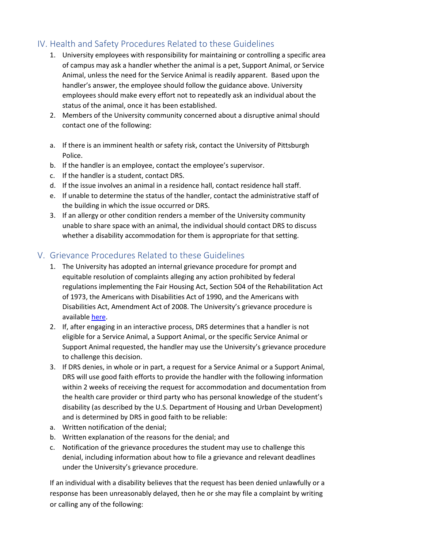# IV. Health and Safety Procedures Related to these Guidelines

- 1. University employees with responsibility for maintaining or controlling a specific area of campus may ask a handler whether the animal is a pet, Support Animal, or Service Animal, unless the need for the Service Animal is readily apparent. Based upon the handler's answer, the employee should follow the guidance above. University employees should make every effort not to repeatedly ask an individual about the status of the animal, once it has been established.
- 2. Members of the University community concerned about a disruptive animal should contact one of the following:
- a. If there is an imminent health or safety risk, contact the University of Pittsburgh Police.
- b. If the handler is an employee, contact the employee's supervisor.
- c. If the handler is a student, contact DRS.
- d. If the issue involves an animal in a residence hall, contact residence hall staff.
- e. If unable to determine the status of the handler, contact the administrative staff of the building in which the issue occurred or DRS.
- 3. If an allergy or other condition renders a member of the University community unable to share space with an animal, the individual should contact DRS to discuss whether a disability accommodation for them is appropriate for that setting.

# V. Grievance Procedures Related to these Guidelines

- 1. The University has adopted an internal grievance procedure for prompt and equitable resolution of complaints alleging any action prohibited by federal regulations implementing the Fair Housing Act, Section 504 of the Rehabilitation Act of 1973, the Americans with Disabilities Act of 1990, and the Americans with Disabilities Act, Amendment Act of 2008. The University's grievance procedure is available [here.](https://www.diversity.pitt.edu/disability-access/disability-resources-and-services/policies/grievance-procedure)
- 2. If, after engaging in an interactive process, DRS determines that a handler is not eligible for a Service Animal, a Support Animal, or the specific Service Animal or Support Animal requested, the handler may use the University's grievance procedure to challenge this decision.
- 3. If DRS denies, in whole or in part, a request for a Service Animal or a Support Animal, DRS will use good faith efforts to provide the handler with the following information within 2 weeks of receiving the request for accommodation and documentation from the health care provider or third party who has personal knowledge of the student's disability (as described by the U.S. Department of Housing and Urban Development) and is determined by DRS in good faith to be reliable:
- a. Written notification of the denial;
- b. Written explanation of the reasons for the denial; and
- c. Notification of the grievance procedures the student may use to challenge this denial, including information about how to file a grievance and relevant deadlines under the University's grievance procedure.

If an individual with a disability believes that the request has been denied unlawfully or a response has been unreasonably delayed, then he or she may file a complaint by writing or calling any of the following: